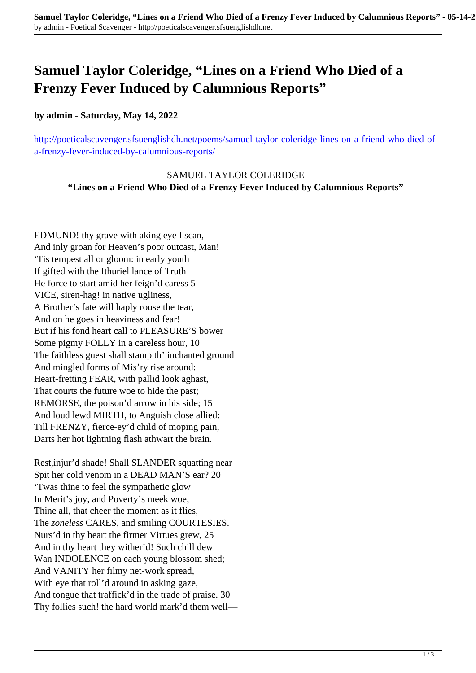## **Samuel Taylor Coleridge, "Lines on a Friend Who Died of a Frenzy Fever Induced by Calumnious Reports"**

## **by admin - Saturday, May 14, 2022**

[http://poeticalscavenger.sfsuenglishdh.net/poems/samuel-taylor-coleridge-lines-on-a-friend-who-died-of](http://poeticalscavenger.sfsuenglishdh.net/poems/samuel-taylor-coleridge-lines-on-a-friend-who-died-of-a-frenzy-fever-induced-by-calumnious-reports/)[a-frenzy-fever-induced-by-calumnious-reports/](http://poeticalscavenger.sfsuenglishdh.net/poems/samuel-taylor-coleridge-lines-on-a-friend-who-died-of-a-frenzy-fever-induced-by-calumnious-reports/)

SAMUEL TAYLOR COLERIDGE **"Lines on a Friend Who Died of a Frenzy Fever Induced by Calumnious Reports"**

EDMUND! thy grave with aking eye I scan, And inly groan for Heaven's poor outcast, Man! 'Tis tempest all or gloom: in early youth If gifted with the Ithuriel lance of Truth He force to start amid her feign'd caress 5 VICE, siren-hag! in native ugliness, A Brother's fate will haply rouse the tear, And on he goes in heaviness and fear! But if his fond heart call to PLEASURE'S bower Some pigmy FOLLY in a careless hour, 10 The faithless guest shall stamp th' inchanted ground And mingled forms of Mis'ry rise around: Heart-fretting FEAR, with pallid look aghast, That courts the future woe to hide the past; REMORSE, the poison'd arrow in his side; 15 And loud lewd MIRTH, to Anguish close allied: Till FRENZY, fierce-ey'd child of moping pain, Darts her hot lightning flash athwart the brain.

Rest,injur'd shade! Shall SLANDER squatting near Spit her cold venom in a DEAD MAN'S ear? 20 'Twas thine to feel the sympathetic glow In Merit's joy, and Poverty's meek woe; Thine all, that cheer the moment as it flies, The *zoneless* CARES, and smiling COURTESIES. Nurs'd in thy heart the firmer Virtues grew, 25 And in thy heart they wither'd! Such chill dew Wan INDOLENCE on each young blossom shed; And VANITY her filmy net-work spread, With eye that roll'd around in asking gaze, And tongue that traffick'd in the trade of praise. 30 Thy follies such! the hard world mark'd them well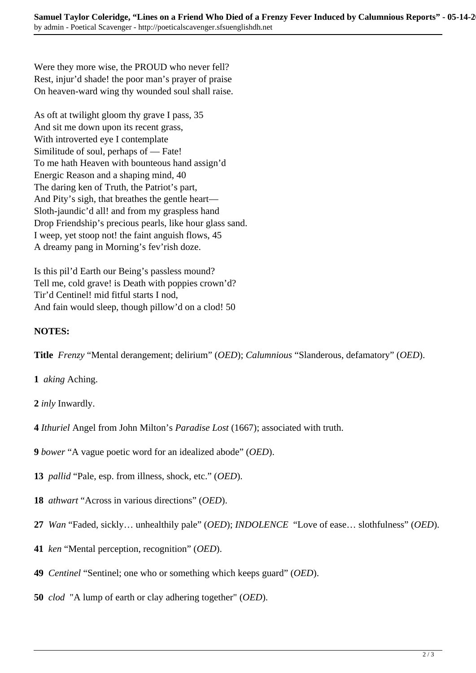Were they more wise, the PROUD who never fell? Rest, injur'd shade! the poor man's prayer of praise On heaven-ward wing thy wounded soul shall raise.

As oft at twilight gloom thy grave I pass, 35 And sit me down upon its recent grass, With introverted eye I contemplate Similitude of soul, perhaps of — Fate! To me hath Heaven with bounteous hand assign'd Energic Reason and a shaping mind, 40 The daring ken of Truth, the Patriot's part, And Pity's sigh, that breathes the gentle heart— Sloth-jaundic'd all! and from my graspless hand Drop Friendship's precious pearls, like hour glass sand. I weep, yet stoop not! the faint anguish flows, 45 A dreamy pang in Morning's fev'rish doze.

Is this pil'd Earth our Being's passless mound? Tell me, cold grave! is Death with poppies crown'd? Tir'd Centinel! mid fitful starts I nod, And fain would sleep, though pillow'd on a clod! 50

## **NOTES:**

**Title** *Frenzy* "Mental derangement; delirium" (*OED*); *Calumnious* "Slanderous, defamatory" (*OED*).

- **1** *aking* Aching.
- **2** *inly* Inwardly.
- **4** *Ithuriel* Angel from John Milton's *Paradise Lost* (1667); associated with truth.
- **9** *bower* "A vague poetic word for an idealized abode" (*OED*).
- **13** *pallid* "Pale, esp. from illness, shock, etc." (*OED*).
- **18** *athwart* "Across in various directions" (*OED*).
- **27** *Wan* "Faded, sickly… unhealthily pale" (*OED*); *INDOLENCE* "Love of ease… slothfulness" (*OED*).
- **41** *ken* "Mental perception, recognition" (*OED*).
- **49** *Centinel* "Sentinel; one who or something which keeps guard" (*OED*).
- **50** *clod* "A lump of earth or clay adhering together" (*OED*).